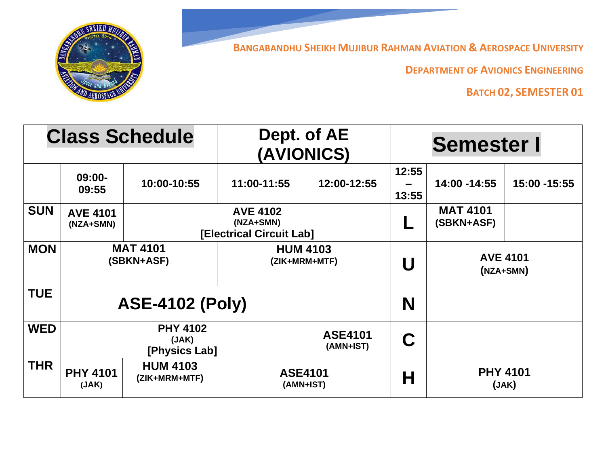

**BANGABANDHU SHEIKH MUJIBUR RAHMAN AVIATION & AEROSPACE UNIVERSITY**

**DEPARTMENT OF AVIONICS ENGINEERING**

**BATCH 02, SEMESTER 01**

| <b>Class Schedule</b> |                                                                                |                                                          | Dept. of AE<br>(AVIONICS) |                                  | <b>Semester I</b>        |                               |              |
|-----------------------|--------------------------------------------------------------------------------|----------------------------------------------------------|---------------------------|----------------------------------|--------------------------|-------------------------------|--------------|
|                       | $09:00-$<br>09:55                                                              | 10:00-10:55                                              | 11:00-11:55               | 12:00-12:55                      | 12:55<br>13:55           | 14:00 -14:55                  | 15:00 -15:55 |
| <b>SUN</b>            | <b>AVE 4101</b><br>(NZA+SMN)                                                   | <b>AVE 4102</b><br>(NZA+SMN)<br>[Electrical Circuit Lab] |                           |                                  |                          | <b>MAT 4101</b><br>(SBKN+ASF) |              |
| <b>MON</b>            |                                                                                | <b>MAT 4101</b><br>(SBKN+ASF)                            |                           | <b>HUM 4103</b><br>(ZIK+MRM+MTF) | U                        | <b>AVE 4101</b><br>(NZA+SMN)  |              |
| <b>TUE</b>            | <b>ASE-4102 (Poly)</b>                                                         |                                                          |                           |                                  | N                        |                               |              |
| <b>WED</b>            | <b>PHY 4102</b><br>(JAK)<br>[Physics Lab]                                      |                                                          |                           | <b>ASE4101</b><br>(AMN+IST)      | C                        |                               |              |
| <b>THR</b>            | <b>HUM 4103</b><br><b>PHY 4101</b><br><b>ASE4101</b><br>(ZIK+MRM+MTF)<br>(JAK) |                                                          | (AMN+IST)                 | $\mathsf{H}$                     | <b>PHY 4101</b><br>(JAK) |                               |              |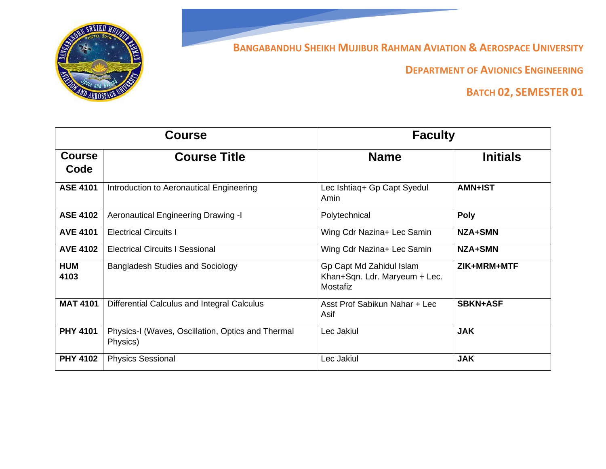

**BANGABANDHU SHEIKH MUJIBUR RAHMAN AVIATION & AEROSPACE UNIVERSITY**

**DEPARTMENT OF AVIONICS ENGINEERING**

**BATCH 02, SEMESTER 01**

|                       | Course                                                        | <b>Faculty</b>                                                        |                 |  |  |
|-----------------------|---------------------------------------------------------------|-----------------------------------------------------------------------|-----------------|--|--|
| <b>Course</b><br>Code | <b>Course Title</b>                                           | <b>Name</b>                                                           | <b>Initials</b> |  |  |
| <b>ASE 4101</b>       | Introduction to Aeronautical Engineering                      | Lec Ishtiaq+ Gp Capt Syedul<br>Amin                                   | <b>AMN+IST</b>  |  |  |
| <b>ASE 4102</b>       | Aeronautical Engineering Drawing -I                           | Polytechnical                                                         | <b>Poly</b>     |  |  |
| <b>AVE 4101</b>       | <b>Electrical Circuits I</b>                                  | Wing Cdr Nazina+ Lec Samin                                            | <b>NZA+SMN</b>  |  |  |
| <b>AVE 4102</b>       | <b>Electrical Circuits I Sessional</b>                        | Wing Cdr Nazina+ Lec Samin                                            | <b>NZA+SMN</b>  |  |  |
| <b>HUM</b><br>4103    | <b>Bangladesh Studies and Sociology</b>                       | Gp Capt Md Zahidul Islam<br>Khan+Sqn. Ldr. Maryeum + Lec.<br>Mostafiz | ZIK+MRM+MTF     |  |  |
| <b>MAT 4101</b>       | Differential Calculus and Integral Calculus                   | Asst Prof Sabikun Nahar + Lec<br>Asif                                 | <b>SBKN+ASF</b> |  |  |
| <b>PHY 4101</b>       | Physics-I (Waves, Oscillation, Optics and Thermal<br>Physics) | Lec Jakiul                                                            | <b>JAK</b>      |  |  |
| <b>PHY 4102</b>       | <b>Physics Sessional</b>                                      | Lec Jakiul                                                            | <b>JAK</b>      |  |  |